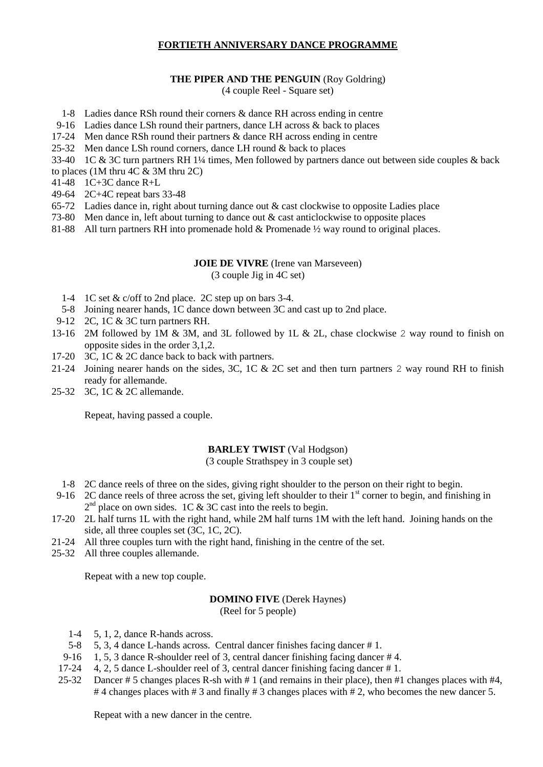# **FORTIETH ANNIVERSARY DANCE PROGRAMME**

## **THE PIPER AND THE PENGUIN** (Roy Goldring)

(4 couple Reel - Square set)

- 1-8 Ladies dance RSh round their corners & dance RH across ending in centre
- 9-16 Ladies dance LSh round their partners, dance LH across & back to places
- 17-24 Men dance RSh round their partners & dance RH across ending in centre
- 25-32 Men dance LSh round corners, dance LH round & back to places
- 33-40 1C & 3C turn partners RH 1¼ times, Men followed by partners dance out between side couples & back
- to places (1M thru 4C & 3M thru 2C)
- 41-48 1C+3C dance R+L
- 49-64 2C+4C repeat bars 33-48
- 65-72 Ladies dance in, right about turning dance out & cast clockwise to opposite Ladies place
- 73-80 Men dance in, left about turning to dance out & cast anticlockwise to opposite places
- 81-88 All turn partners RH into promenade hold & Promenade  $\frac{1}{2}$  way round to original places.

# **JOIE DE VIVRE** (Irene van Marseveen)

(3 couple Jig in 4C set)

- 1-4 1C set & c/off to 2nd place. 2C step up on bars 3-4.
- 5-8 Joining nearer hands, 1C dance down between 3C and cast up to 2nd place.
- 9-12 2C, 1C & 3C turn partners RH.
- 13-16 2M followed by 1M & 3M, and 3L followed by 1L & 2L, chase clockwise 2 way round to finish on opposite sides in the order 3,1,2.
- 17-20 3C, 1C & 2C dance back to back with partners.
- 21-24 Joining nearer hands on the sides, 3C, 1C & 2C set and then turn partners 2 way round RH to finish ready for allemande.
- 25-32 3C, 1C & 2C allemande.

Repeat, having passed a couple.

# **BARLEY TWIST** (Val Hodgson)

(3 couple Strathspey in 3 couple set)

- 1-8 2C dance reels of three on the sides, giving right shoulder to the person on their right to begin.
- 9-16 2C dance reels of three across the set, giving left shoulder to their 1<sup>st</sup> corner to begin, and finishing in  $2<sup>nd</sup>$  place on own sides. 1C & 3C cast into the reels to begin.
- 17-20 2L half turns 1L with the right hand, while 2M half turns 1M with the left hand. Joining hands on the side, all three couples set (3C, 1C, 2C).
- 21-24 All three couples turn with the right hand, finishing in the centre of the set.
- 25-32 All three couples allemande.

Repeat with a new top couple.

# **DOMINO FIVE** (Derek Haynes)

(Reel for 5 people)

- 1-4 5, 1, 2, dance R-hands across.
- 5-8 5, 3, 4 dance L-hands across. Central dancer finishes facing dancer # 1.
- 9-16 1, 5, 3 dance R-shoulder reel of 3, central dancer finishing facing dancer # 4.
- 17-24 4, 2, 5 dance L-shoulder reel of 3, central dancer finishing facing dancer # 1.
- 25-32 Dancer # 5 changes places R-sh with # 1 (and remains in their place), then #1 changes places with #4, #4 changes places with #3 and finally #3 changes places with #2, who becomes the new dancer 5.

Repeat with a new dancer in the centre.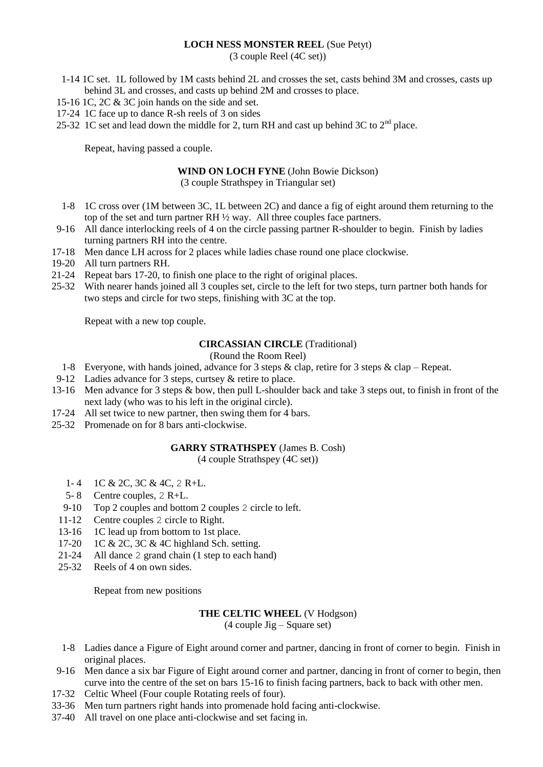### **LOCH NESS MONSTER REEL** (Sue Petyt)

(3 couple Reel (4C set))

- 1-14 1C set. 1L followed by 1M casts behind 2L and crosses the set, casts behind 3M and crosses, casts up behind 3L and crosses, and casts up behind 2M and crosses to place.
- 15-16 1C, 2C & 3C join hands on the side and set.
- 17-24 1C face up to dance R-sh reels of 3 on sides
- 25-32 1C set and lead down the middle for 2, turn RH and cast up behind 3C to  $2<sup>nd</sup>$  place.

Repeat, having passed a couple.

# **WIND ON LOCH FYNE** (John Bowie Dickson)

(3 couple Strathspey in Triangular set)

- 1-8 1C cross over (1M between 3C, 1L between 2C) and dance a fig of eight around them returning to the top of the set and turn partner RH ½ way. All three couples face partners.
- 9-16 All dance interlocking reels of 4 on the circle passing partner R-shoulder to begin. Finish by ladies turning partners RH into the centre.
- 17-18 Men dance LH across for 2 places while ladies chase round one place clockwise.
- 19-20 All turn partners RH.
- 21-24 Repeat bars 17-20, to finish one place to the right of original places.
- 25-32 With nearer hands joined all 3 couples set, circle to the left for two steps, turn partner both hands for two steps and circle for two steps, finishing with 3C at the top.

Repeat with a new top couple.

#### **CIRCASSIAN CIRCLE** (Traditional)

## (Round the Room Reel)

- 1-8 Everyone, with hands joined, advance for 3 steps & clap, retire for 3 steps & clap Repeat.
- 9-12 Ladies advance for 3 steps, curtsey & retire to place.
- 13-16 Men advance for 3 steps & bow, then pull L-shoulder back and take 3 steps out, to finish in front of the next lady (who was to his left in the original circle).
- 17-24 All set twice to new partner, then swing them for 4 bars.
- 25-32 Promenade on for 8 bars anti-clockwise.

#### **GARRY STRATHSPEY** (James B. Cosh)

(4 couple Strathspey (4C set))

- 1- 4 1C & 2C, 3C & 4C, 2 R+L.
- 5- 8 Centre couples, 2 R+L.
- 9-10 Top 2 couples and bottom 2 couples 2 circle to left.
- 11-12 Centre couples 2 circle to Right.
- 13-16 1C lead up from bottom to 1st place.
- 17-20 1C & 2C, 3C & 4C highland Sch. setting.
- 21-24 All dance 2 grand chain (1 step to each hand)<br>25-32 Reels of 4 on own sides
- Reels of 4 on own sides.

Repeat from new positions

## **THE CELTIC WHEEL** (V Hodgson)

(4 couple Jig – Square set)

- 1-8 Ladies dance a Figure of Eight around corner and partner, dancing in front of corner to begin. Finish in original places.
- 9-16 Men dance a six bar Figure of Eight around corner and partner, dancing in front of corner to begin, then curve into the centre of the set on bars 15-16 to finish facing partners, back to back with other men.
- 17-32 Celtic Wheel (Four couple Rotating reels of four).
- 33-36 Men turn partners right hands into promenade hold facing anti-clockwise.
- 37-40 All travel on one place anti-clockwise and set facing in.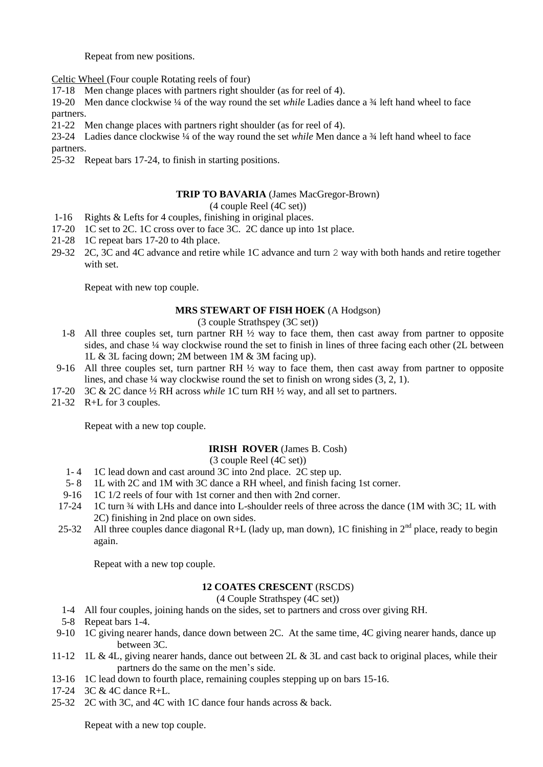Repeat from new positions.

Celtic Wheel (Four couple Rotating reels of four)

17-18 Men change places with partners right shoulder (as for reel of 4).

19-20 Men dance clockwise ¼ of the way round the set *while* Ladies dance a ¾ left hand wheel to face partners.

21-22 Men change places with partners right shoulder (as for reel of 4).

23-24 Ladies dance clockwise ¼ of the way round the set *while* Men dance a ¾ left hand wheel to face partners.

25-32 Repeat bars 17-24, to finish in starting positions.

#### **TRIP TO BAVARIA** (James MacGregor-Brown)

(4 couple Reel (4C set))

- 1-16 Rights & Lefts for 4 couples, finishing in original places.
- 17-20 1C set to 2C. 1C cross over to face 3C. 2C dance up into 1st place.
- 21-28 1C repeat bars 17-20 to 4th place.
- 29-32 2C, 3C and 4C advance and retire while 1C advance and turn 2 way with both hands and retire together with set.

Repeat with new top couple.

#### **MRS STEWART OF FISH HOEK** (A Hodgson)

(3 couple Strathspey (3C set))

- 1-8 All three couples set, turn partner RH ½ way to face them, then cast away from partner to opposite sides, and chase ¼ way clockwise round the set to finish in lines of three facing each other (2L between 1L & 3L facing down; 2M between 1M & 3M facing up).
- 9-16 All three couples set, turn partner RH ½ way to face them, then cast away from partner to opposite lines, and chase ¼ way clockwise round the set to finish on wrong sides (3, 2, 1).
- 17-20 3C & 2C dance ½ RH across *while* 1C turn RH ½ way, and all set to partners.
- 21-32 R+L for 3 couples.

Repeat with a new top couple.

#### **IRISH ROVER** (James B. Cosh)

(3 couple Reel (4C set))

- 1- 4 1C lead down and cast around 3C into 2nd place. 2C step up.
- 5- 8 1L with 2C and 1M with 3C dance a RH wheel, and finish facing 1st corner.
- 9-16 1C 1/2 reels of four with 1st corner and then with 2nd corner.
- 17-24 1C turn ¾ with LHs and dance into L-shoulder reels of three across the dance (1M with 3C; 1L with 2C) finishing in 2nd place on own sides.
- 25-32 All three couples dance diagonal R+L (lady up, man down), 1C finishing in  $2^{nd}$  place, ready to begin again.

Repeat with a new top couple.

#### **12 COATES CRESCENT** (RSCDS)

(4 Couple Strathspey (4C set))

- 1-4 All four couples, joining hands on the sides, set to partners and cross over giving RH.
- 5-8 Repeat bars 1-4.
- 9-10 1C giving nearer hands, dance down between 2C. At the same time, 4C giving nearer hands, dance up between 3C.
- 11-12 1L & 4L, giving nearer hands, dance out between 2L & 3L and cast back to original places, while their partners do the same on the men's side.
- 13-16 1C lead down to fourth place, remaining couples stepping up on bars 15-16.
- 17-24 3C & 4C dance R+L.
- 25-32 2C with 3C, and 4C with 1C dance four hands across & back.

Repeat with a new top couple.